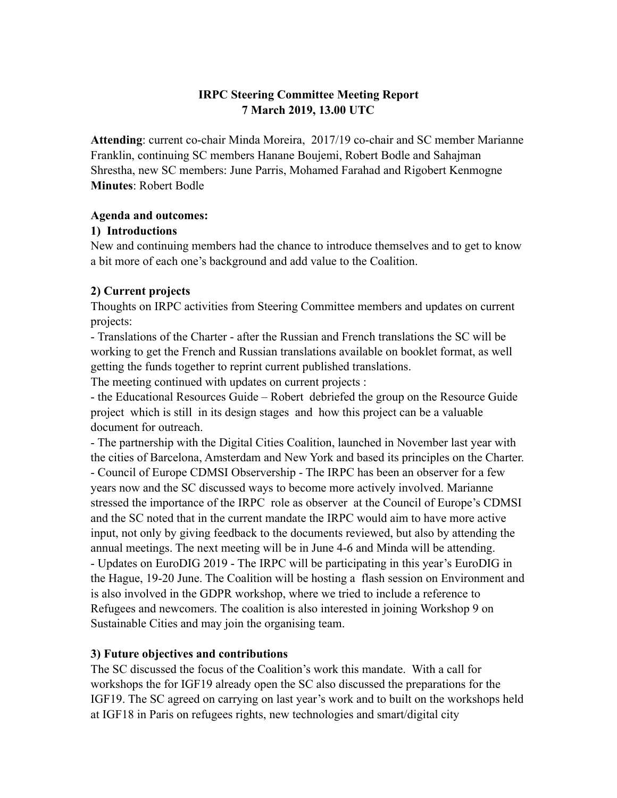# **IRPC Steering Committee Meeting Report 7 March 2019, 13.00 UTC**

**Attending**: current co-chair Minda Moreira, 2017/19 co-chair and SC member Marianne Franklin, continuing SC members Hanane Boujemi, Robert Bodle and Sahajman Shrestha, new SC members: June Parris, Mohamed Farahad and Rigobert Kenmogne **Minutes**: Robert Bodle

# **Agenda and outcomes:**

#### **1) Introductions**

New and continuing members had the chance to introduce themselves and to get to know a bit more of each one's background and add value to the Coalition.

# **2) Current projects**

Thoughts on IRPC activities from Steering Committee members and updates on current projects:

- Translations of the Charter - after the Russian and French translations the SC will be working to get the French and Russian translations available on booklet format, as well getting the funds together to reprint current published translations.

The meeting continued with updates on current projects :

- the Educational Resources Guide – Robert debriefed the group on the Resource Guide project which is still in its design stages and how this project can be a valuable document for outreach.

- The partnership with the Digital Cities Coalition, launched in November last year with the cities of Barcelona, Amsterdam and New York and based its principles on the Charter. - Council of Europe CDMSI Observership - The IRPC has been an observer for a few years now and the SC discussed ways to become more actively involved. Marianne stressed the importance of the IRPC role as observer at the Council of Europe's CDMSI and the SC noted that in the current mandate the IRPC would aim to have more active input, not only by giving feedback to the documents reviewed, but also by attending the annual meetings. The next meeting will be in June 4-6 and Minda will be attending. - Updates on EuroDIG 2019 - The IRPC will be participating in this year's EuroDIG in the Hague, 19-20 June. The Coalition will be hosting a flash session on Environment and is also involved in the GDPR workshop, where we tried to include a reference to Refugees and newcomers. The coalition is also interested in joining Workshop 9 on Sustainable Cities and may join the organising team.

# **3) Future objectives and contributions**

The SC discussed the focus of the Coalition's work this mandate. With a call for workshops the for IGF19 already open the SC also discussed the preparations for the IGF19. The SC agreed on carrying on last year's work and to built on the workshops held at IGF18 in Paris on refugees rights, new technologies and smart/digital city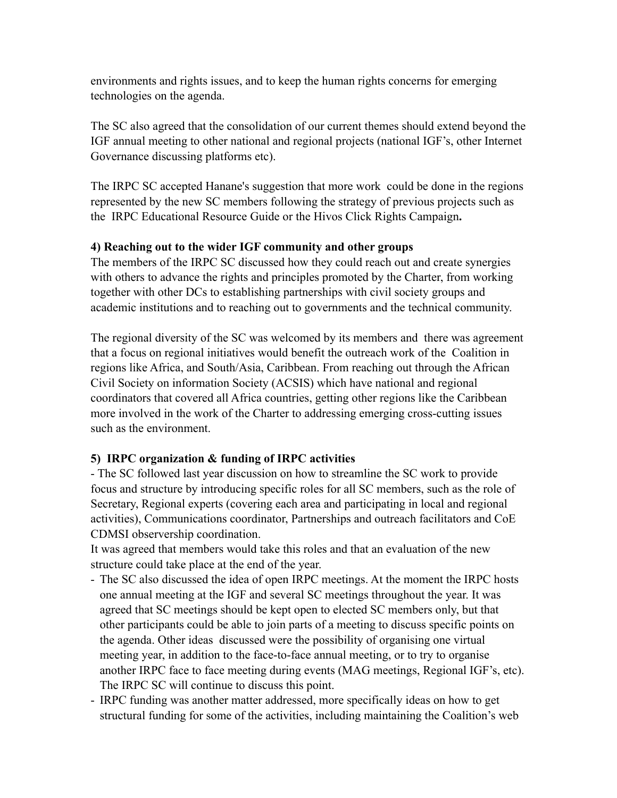environments and rights issues, and to keep the human rights concerns for emerging technologies on the agenda.

The SC also agreed that the consolidation of our current themes should extend beyond the IGF annual meeting to other national and regional projects (national IGF's, other Internet Governance discussing platforms etc).

The IRPC SC accepted Hanane's suggestion that more work could be done in the regions represented by the new SC members following the strategy of previous projects such as the IRPC Educational Resource Guide or the Hivos Click Rights Campaign**.** 

# **4) Reaching out to the wider IGF community and other groups**

The members of the IRPC SC discussed how they could reach out and create synergies with others to advance the rights and principles promoted by the Charter, from working together with other DCs to establishing partnerships with civil society groups and academic institutions and to reaching out to governments and the technical community.

The regional diversity of the SC was welcomed by its members and there was agreement that a focus on regional initiatives would benefit the outreach work of the Coalition in regions like Africa, and South/Asia, Caribbean. From reaching out through the African Civil Society on information Society (ACSIS) which have national and regional coordinators that covered all Africa countries, getting other regions like the Caribbean more involved in the work of the Charter to addressing emerging cross-cutting issues such as the environment.

# **5) IRPC organization & funding of IRPC activities**

- The SC followed last year discussion on how to streamline the SC work to provide focus and structure by introducing specific roles for all SC members, such as the role of Secretary, Regional experts (covering each area and participating in local and regional activities), Communications coordinator, Partnerships and outreach facilitators and CoE CDMSI observership coordination.

It was agreed that members would take this roles and that an evaluation of the new structure could take place at the end of the year.

- The SC also discussed the idea of open IRPC meetings. At the moment the IRPC hosts one annual meeting at the IGF and several SC meetings throughout the year. It was agreed that SC meetings should be kept open to elected SC members only, but that other participants could be able to join parts of a meeting to discuss specific points on the agenda. Other ideas discussed were the possibility of organising one virtual meeting year, in addition to the face-to-face annual meeting, or to try to organise another IRPC face to face meeting during events (MAG meetings, Regional IGF's, etc). The IRPC SC will continue to discuss this point.
- IRPC funding was another matter addressed, more specifically ideas on how to get structural funding for some of the activities, including maintaining the Coalition's web